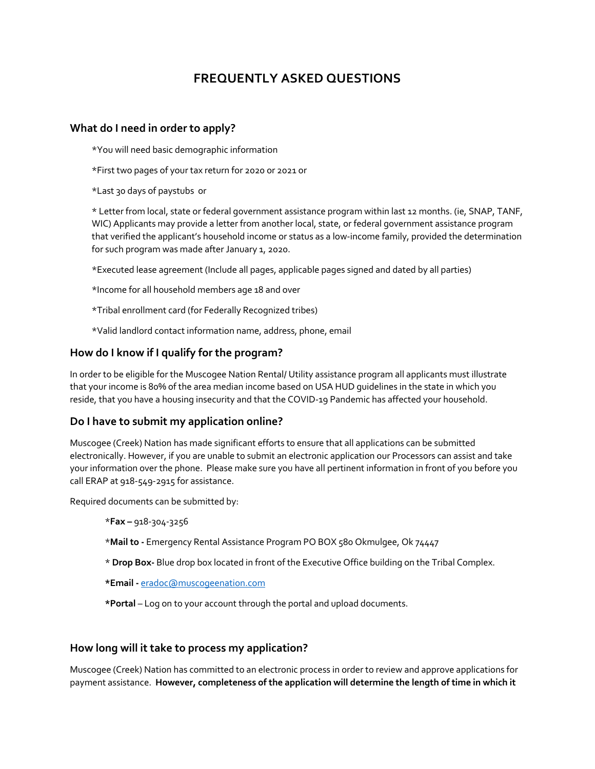## **FREQUENTLY ASKED QUESTIONS**

## **What do I need in order to apply?**

\*You will need basic demographic information

\*First two pages of your tax return for 2020 or 2021 or

\*Last 30 days of paystubs or

\* Letter from local, state or federal government assistance program within last 12 months. (ie, SNAP, TANF, WIC) Applicants may provide a letter from another local, state, or federal government assistance program that verified the applicant's household income or status as a low-income family, provided the determination for such program was made after January 1, 2020.

\*Executed lease agreement (Include all pages, applicable pages signed and dated by all parties)

\*Income for all household members age 18 and over

\*Tribal enrollment card (for Federally Recognized tribes)

\*Valid landlord contact information name, address, phone, email

## **How do I know if I qualify for the program?**

In order to be eligible for the Muscogee Nation Rental/ Utility assistance program all applicants must illustrate that your income is 80% of the area median income based on USA HUD guidelines in the state in which you reside, that you have a housing insecurity and that the COVID-19 Pandemic has affected your household.

## **Do I have to submit my application online?**

Muscogee (Creek) Nation has made significant efforts to ensure that all applications can be submitted electronically. However, if you are unable to submit an electronic application our Processors can assist and take your information over the phone. Please make sure you have all pertinent information in front of you before you call ERAP at 918-549-2915 for assistance.

Required documents can be submitted by:

\***Fax –** 918-304-3256

\***Mail to -** Emergency Rental Assistance Program PO BOX 580 Okmulgee, Ok 74447

\* **Drop Box-** Blue drop box located in front of the Executive Office building on the Tribal Complex.

**\*Email -** [eradoc@muscogeenation.com](mailto:eradoc@muscogeenation.com)

**\*Portal** – Log on to your account through the portal and upload documents.

## **How long will it take to process my application?**

Muscogee (Creek) Nation has committed to an electronic process in order to review and approve applications for payment assistance. **However, completeness of the application will determine the length of time in which it**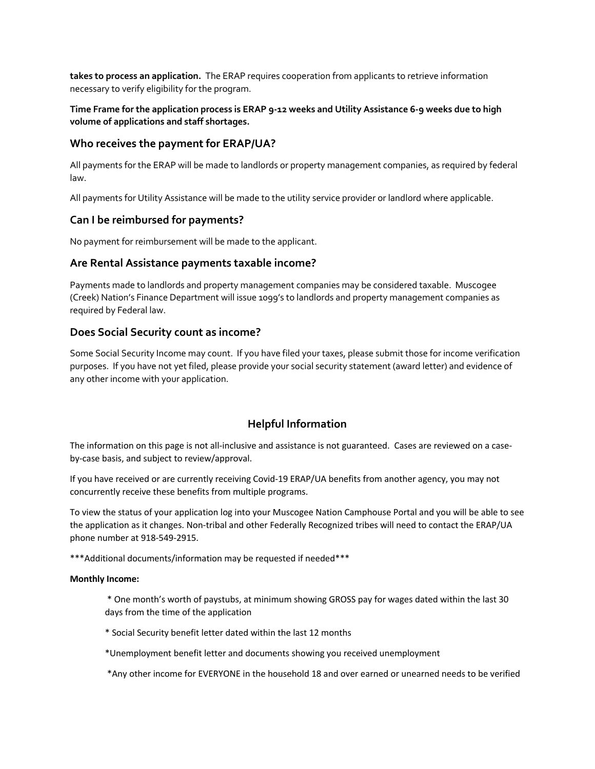**takes to process an application.** The ERAP requires cooperation from applicants to retrieve information necessary to verify eligibility for the program.

## **Time Frame for the application process is ERAP 9-12 weeks and Utility Assistance 6-9 weeks due to high volume of applications and staff shortages.**

## **Who receives the payment for ERAP/UA?**

All payments for the ERAP will be made to landlords or property management companies, as required by federal law.

All payments for Utility Assistance will be made to the utility service provider or landlord where applicable.

## **Can I be reimbursed for payments?**

No payment for reimbursement will be made to the applicant.

## **Are Rental Assistance payments taxable income?**

Payments made to landlords and property management companies may be considered taxable. Muscogee (Creek) Nation's Finance Department will issue 1099's to landlords and property management companies as required by Federal law.

## **Does Social Security count as income?**

Some Social Security Income may count. If you have filed your taxes, please submit those for income verification purposes. If you have not yet filed, please provide your social security statement (award letter) and evidence of any other income with your application.

## **Helpful Information**

The information on this page is not all-inclusive and assistance is not guaranteed. Cases are reviewed on a caseby-case basis, and subject to review/approval.

If you have received or are currently receiving Covid-19 ERAP/UA benefits from another agency, you may not concurrently receive these benefits from multiple programs.

To view the status of your application log into your Muscogee Nation Camphouse Portal and you will be able to see the application as it changes. Non-tribal and other Federally Recognized tribes will need to contact the ERAP/UA phone number at 918-549-2915.

\*\*\*Additional documents/information may be requested if needed\*\*\*

#### **Monthly Income:**

\* One month's worth of paystubs, at minimum showing GROSS pay for wages dated within the last 30 days from the time of the application

\* Social Security benefit letter dated within the last 12 months

\*Unemployment benefit letter and documents showing you received unemployment

\*Any other income for EVERYONE in the household 18 and over earned or unearned needs to be verified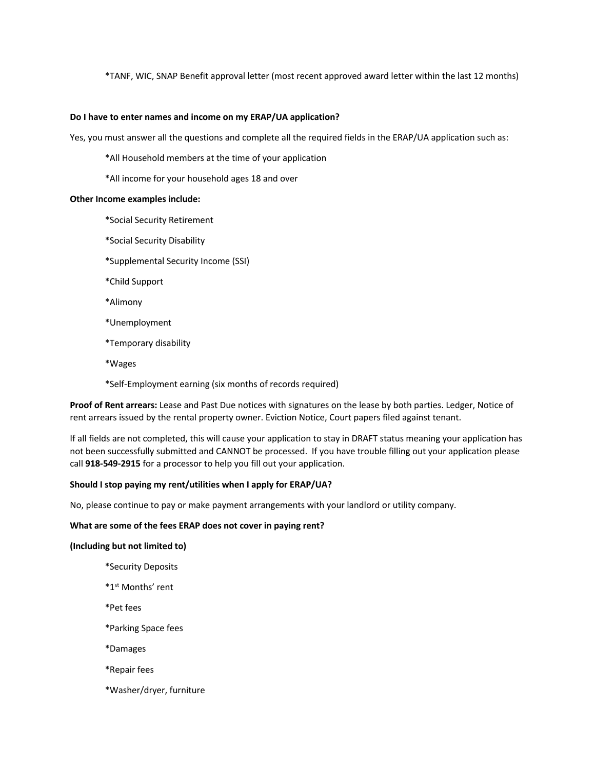\*TANF, WIC, SNAP Benefit approval letter (most recent approved award letter within the last 12 months)

#### **Do I have to enter names and income on my ERAP/UA application?**

Yes, you must answer all the questions and complete all the required fields in the ERAP/UA application such as:

\*All Household members at the time of your application

\*All income for your household ages 18 and over

#### **Other Income examples include:**

\*Social Security Retirement

- \*Social Security Disability
- \*Supplemental Security Income (SSI)
- \*Child Support
- \*Alimony
- \*Unemployment
- \*Temporary disability
- \*Wages

\*Self-Employment earning (six months of records required)

**Proof of Rent arrears:** Lease and Past Due notices with signatures on the lease by both parties. Ledger, Notice of rent arrears issued by the rental property owner. Eviction Notice, Court papers filed against tenant.

If all fields are not completed, this will cause your application to stay in DRAFT status meaning your application has not been successfully submitted and CANNOT be processed. If you have trouble filling out your application please call **918-549-2915** for a processor to help you fill out your application.

#### **Should I stop paying my rent/utilities when I apply for ERAP/UA?**

No, please continue to pay or make payment arrangements with your landlord or utility company.

#### **What are some of the fees ERAP does not cover in paying rent?**

#### **(Including but not limited to)**

- \*Security Deposits
- \*1st Months' rent
- \*Pet fees
- \*Parking Space fees
- \*Damages
- \*Repair fees
- \*Washer/dryer, furniture